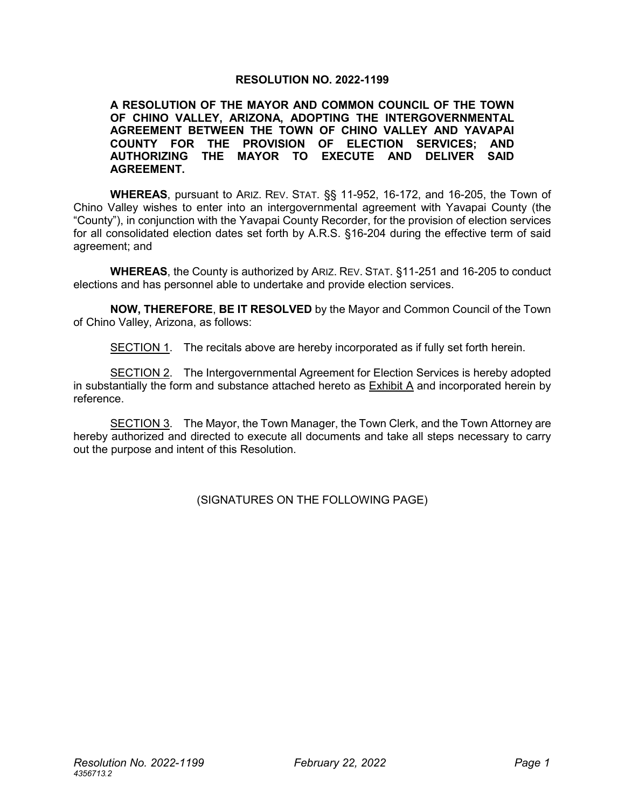#### **RESOLUTION NO. 2022-1199**

#### **A RESOLUTION OF THE MAYOR AND COMMON COUNCIL OF THE TOWN OF CHINO VALLEY, ARIZONA, ADOPTING THE INTERGOVERNMENTAL AGREEMENT BETWEEN THE TOWN OF CHINO VALLEY AND YAVAPAI COUNTY FOR THE PROVISION OF ELECTION SERVICES; AND AUTHORIZING THE MAYOR TO EXECUTE AND DELIVER SAID AGREEMENT.**

**WHEREAS**, pursuant to ARIZ. REV. STAT. §§ 11-952, 16-172, and 16-205, the Town of Chino Valley wishes to enter into an intergovernmental agreement with Yavapai County (the "County"), in conjunction with the Yavapai County Recorder, for the provision of election services for all consolidated election dates set forth by A.R.S. §16-204 during the effective term of said agreement; and

**WHEREAS**, the County is authorized by ARIZ. REV. STAT. §11-251 and 16-205 to conduct elections and has personnel able to undertake and provide election services.

**NOW, THEREFORE**, **BE IT RESOLVED** by the Mayor and Common Council of the Town of Chino Valley, Arizona, as follows:

SECTION 1. The recitals above are hereby incorporated as if fully set forth herein.

SECTION 2. The Intergovernmental Agreement for Election Services is hereby adopted in substantially the form and substance attached hereto as Exhibit A and incorporated herein by reference.

SECTION 3. The Mayor, the Town Manager, the Town Clerk, and the Town Attorney are hereby authorized and directed to execute all documents and take all steps necessary to carry out the purpose and intent of this Resolution.

(SIGNATURES ON THE FOLLOWING PAGE)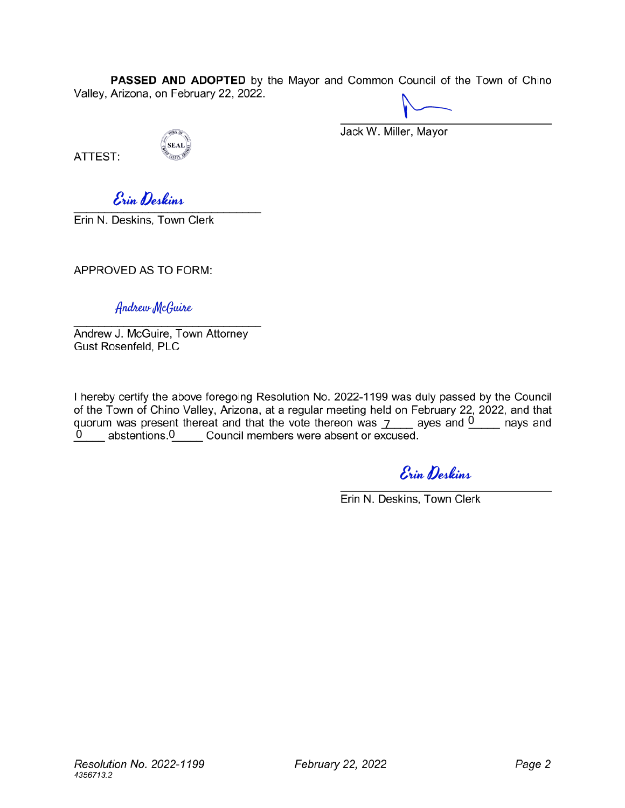**PASSED AND ADOPTED** by the Mayor and Common Council of the Town of Chino Valley, Arizona, on February 22, 2022.

ATTEST:

.<br>SEAL AUTO

Jack W. Miller, Mayor

*f edtinA,*

**Erin N. Deskins, Town Clerk** 

APPROVED AS TO FORM:

*flitcbiMyJl/lcQiuMs*

Andrew J. McGuire, Town Attorney Gust Rosenfeld, PLC

quorum was present thereat and that the vote thereon was  $\frac{1}{2}$  ayes and  $\frac{0}{2}$  nays and 0 \_\_\_ abstentions.0 \_\_\_\_ Council members were absent or excused. I hereby certify the above foregoing Resolution No. 2022-1199 was duly passed by the Council of the Town of Chino Valley, Arizona, at a regular meeting held on February 22, 2022, and that

 $\mathcal{E}_{\text{min}}$  Deskins

Erin N. Deskins, Town Clerk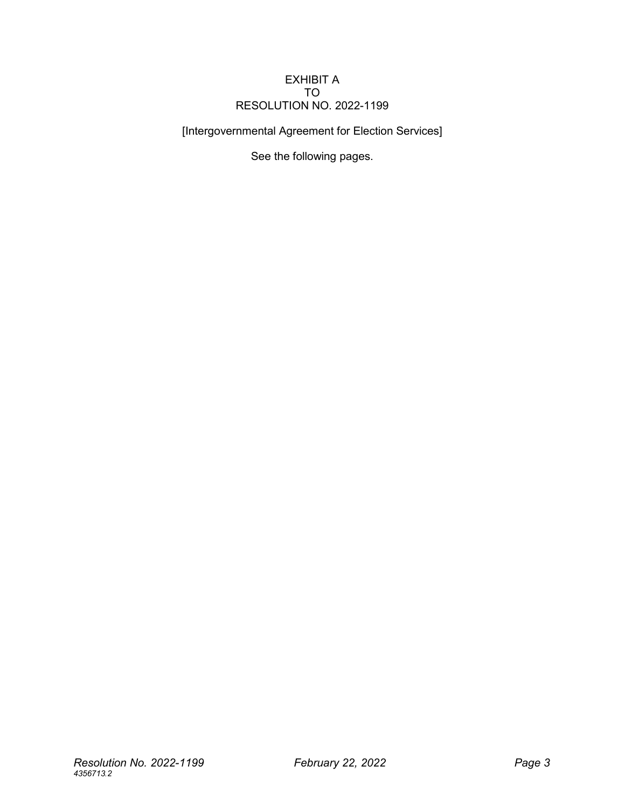#### EXHIBIT A TO RESOLUTION NO. 2022-1199

[Intergovernmental Agreement for Election Services]

See the following pages.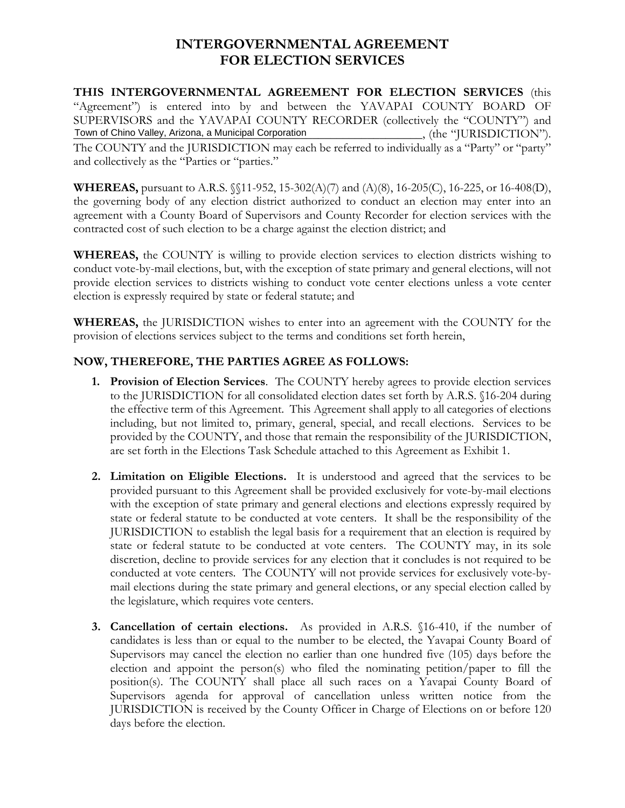## **INTERGOVERNMENTAL AGREEMENT FOR ELECTION SERVICES**

**THIS INTERGOVERNMENTAL AGREEMENT FOR ELECTION SERVICES** (this "Agreement") is entered into by and between the YAVAPAI COUNTY BOARD OF SUPERVISORS and the YAVAPAI COUNTY RECORDER (collectively the "COUNTY") and Town of Chino Valley, Arizona, a Municipal Corporation (in the "JURISDICTION"). The COUNTY and the JURISDICTION may each be referred to individually as a "Party" or "party" and collectively as the "Parties or "parties."

**WHEREAS,** pursuant to A.R.S. §§11-952, 15-302(A)(7) and (A)(8), 16-205(C), 16-225, or 16-408(D), the governing body of any election district authorized to conduct an election may enter into an agreement with a County Board of Supervisors and County Recorder for election services with the contracted cost of such election to be a charge against the election district; and

**WHEREAS,** the COUNTY is willing to provide election services to election districts wishing to conduct vote-by-mail elections, but, with the exception of state primary and general elections, will not provide election services to districts wishing to conduct vote center elections unless a vote center election is expressly required by state or federal statute; and

**WHEREAS,** the JURISDICTION wishes to enter into an agreement with the COUNTY for the provision of elections services subject to the terms and conditions set forth herein,

### **NOW, THEREFORE, THE PARTIES AGREE AS FOLLOWS:**

- **1. Provision of Election Services**. The COUNTY hereby agrees to provide election services to the JURISDICTION for all consolidated election dates set forth by A.R.S. §16-204 during the effective term of this Agreement. This Agreement shall apply to all categories of elections including, but not limited to, primary, general, special, and recall elections. Services to be provided by the COUNTY, and those that remain the responsibility of the JURISDICTION, are set forth in the Elections Task Schedule attached to this Agreement as Exhibit 1.
- **2. Limitation on Eligible Elections.** It is understood and agreed that the services to be provided pursuant to this Agreement shall be provided exclusively for vote-by-mail elections with the exception of state primary and general elections and elections expressly required by state or federal statute to be conducted at vote centers. It shall be the responsibility of the JURISDICTION to establish the legal basis for a requirement that an election is required by state or federal statute to be conducted at vote centers. The COUNTY may, in its sole discretion, decline to provide services for any election that it concludes is not required to be conducted at vote centers. The COUNTY will not provide services for exclusively vote-bymail elections during the state primary and general elections, or any special election called by the legislature, which requires vote centers.
- **3. Cancellation of certain elections.** As provided in A.R.S. §16-410, if the number of candidates is less than or equal to the number to be elected, the Yavapai County Board of Supervisors may cancel the election no earlier than one hundred five (105) days before the election and appoint the person(s) who filed the nominating petition/paper to fill the position(s). The COUNTY shall place all such races on a Yavapai County Board of Supervisors agenda for approval of cancellation unless written notice from the JURISDICTION is received by the County Officer in Charge of Elections on or before 120 days before the election.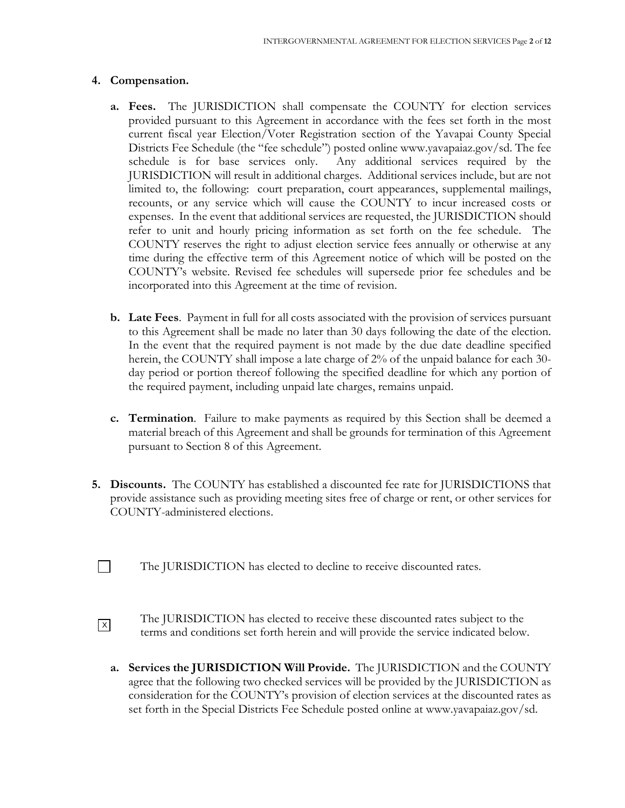#### **4. Compensation.**

- **a. Fees.** The JURISDICTION shall compensate the COUNTY for election services provided pursuant to this Agreement in accordance with the fees set forth in the most current fiscal year Election/Voter Registration section of the Yavapai County Special Districts Fee Schedule (the "fee schedule") posted online www.yavapaiaz.gov/sd. The fee schedule is for base services only. Any additional services required by the JURISDICTION will result in additional charges. Additional services include, but are not limited to, the following: court preparation, court appearances, supplemental mailings, recounts, or any service which will cause the COUNTY to incur increased costs or expenses. In the event that additional services are requested, the JURISDICTION should refer to unit and hourly pricing information as set forth on the fee schedule. The COUNTY reserves the right to adjust election service fees annually or otherwise at any time during the effective term of this Agreement notice of which will be posted on the COUNTY's website. Revised fee schedules will supersede prior fee schedules and be incorporated into this Agreement at the time of revision.
- **b. Late Fees**. Payment in full for all costs associated with the provision of services pursuant to this Agreement shall be made no later than 30 days following the date of the election. In the event that the required payment is not made by the due date deadline specified herein, the COUNTY shall impose a late charge of 2% of the unpaid balance for each 30 day period or portion thereof following the specified deadline for which any portion of the required payment, including unpaid late charges, remains unpaid.
- **c. Termination**. Failure to make payments as required by this Section shall be deemed a material breach of this Agreement and shall be grounds for termination of this Agreement pursuant to Section 8 of this Agreement.
- **5. Discounts.** The COUNTY has established a discounted fee rate for JURISDICTIONS that provide assistance such as providing meeting sites free of charge or rent, or other services for COUNTY-administered elections.
- $\Box$ The JURISDICTION has elected to decline to receive discounted rates.
- The JURISDICTION has elected to receive these discounted rates subject to the terms and conditions set forth herein and will provide the service indicated below.  $\sqrt{X}$ 
	- **a. Services the JURISDICTION Will Provide.** The JURISDICTION and the COUNTY agree that the following two checked services will be provided by the JURISDICTION as consideration for the COUNTY's provision of election services at the discounted rates as set forth in the Special Districts Fee Schedule posted online at www.yavapaiaz.gov/sd.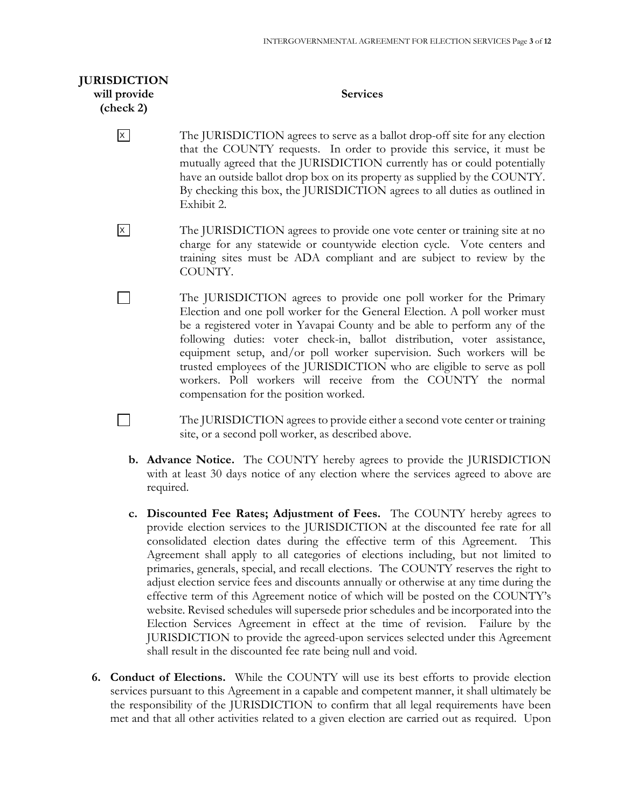| <b>JURISDICTION</b> |  |
|---------------------|--|
| will provide        |  |
| (check 2)           |  |

П

 $\Box$ 

#### **Services**

- The JURISDICTION agrees to serve as a ballot drop-off site for any election that the COUNTY requests. In order to provide this service, it must be mutually agreed that the JURISDICTION currently has or could potentially have an outside ballot drop box on its property as supplied by the COUNTY. By checking this box, the JURISDICTION agrees to all duties as outlined in Exhibit 2.  $\overline{X}$
- The JURISDICTION agrees to provide one vote center or training site at no charge for any statewide or countywide election cycle. Vote centers and training sites must be ADA compliant and are subject to review by the COUNTY.  $\vert x \vert$ 
	- The JURISDICTION agrees to provide one poll worker for the Primary Election and one poll worker for the General Election. A poll worker must be a registered voter in Yavapai County and be able to perform any of the following duties: voter check-in, ballot distribution, voter assistance, equipment setup, and/or poll worker supervision. Such workers will be trusted employees of the JURISDICTION who are eligible to serve as poll workers. Poll workers will receive from the COUNTY the normal compensation for the position worked.
		- The JURISDICTION agrees to provide either a second vote center or training site, or a second poll worker, as described above.
	- **b. Advance Notice.** The COUNTY hereby agrees to provide the JURISDICTION with at least 30 days notice of any election where the services agreed to above are required.
	- **c. Discounted Fee Rates; Adjustment of Fees.** The COUNTY hereby agrees to provide election services to the JURISDICTION at the discounted fee rate for all consolidated election dates during the effective term of this Agreement. This Agreement shall apply to all categories of elections including, but not limited to primaries, generals, special, and recall elections. The COUNTY reserves the right to adjust election service fees and discounts annually or otherwise at any time during the effective term of this Agreement notice of which will be posted on the COUNTY's website. Revised schedules will supersede prior schedules and be incorporated into the Election Services Agreement in effect at the time of revision. Failure by the JURISDICTION to provide the agreed-upon services selected under this Agreement shall result in the discounted fee rate being null and void.
- **6. Conduct of Elections.** While the COUNTY will use its best efforts to provide election services pursuant to this Agreement in a capable and competent manner, it shall ultimately be the responsibility of the JURISDICTION to confirm that all legal requirements have been met and that all other activities related to a given election are carried out as required. Upon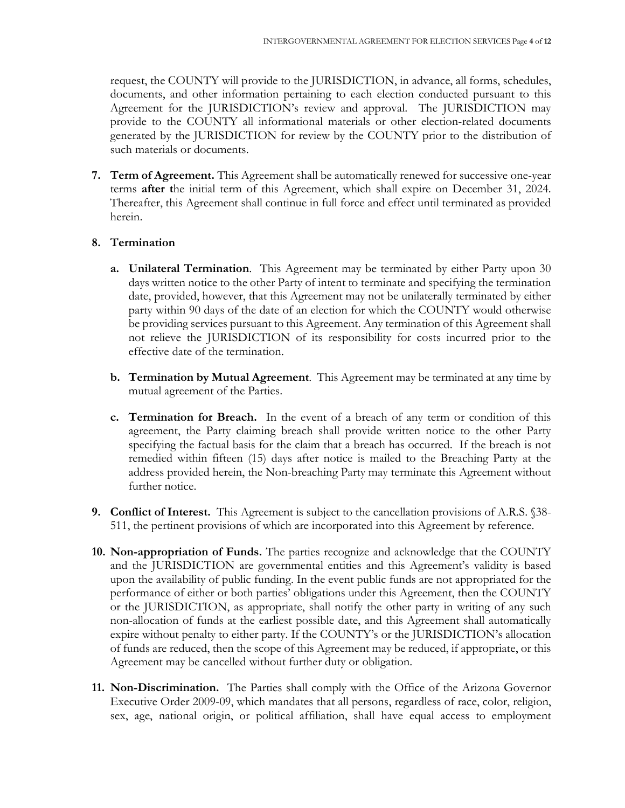request, the COUNTY will provide to the JURISDICTION, in advance, all forms, schedules, documents, and other information pertaining to each election conducted pursuant to this Agreement for the JURISDICTION's review and approval. The JURISDICTION may provide to the COUNTY all informational materials or other election-related documents generated by the JURISDICTION for review by the COUNTY prior to the distribution of such materials or documents.

**7. Term of Agreement.** This Agreement shall be automatically renewed for successive one-year terms **after t**he initial term of this Agreement, which shall expire on December 31, 2024. Thereafter, this Agreement shall continue in full force and effect until terminated as provided herein.

#### **8. Termination**

- **a. Unilateral Termination**. This Agreement may be terminated by either Party upon 30 days written notice to the other Party of intent to terminate and specifying the termination date, provided, however, that this Agreement may not be unilaterally terminated by either party within 90 days of the date of an election for which the COUNTY would otherwise be providing services pursuant to this Agreement. Any termination of this Agreement shall not relieve the JURISDICTION of its responsibility for costs incurred prior to the effective date of the termination.
- **b. Termination by Mutual Agreement**. This Agreement may be terminated at any time by mutual agreement of the Parties.
- **c. Termination for Breach.** In the event of a breach of any term or condition of this agreement, the Party claiming breach shall provide written notice to the other Party specifying the factual basis for the claim that a breach has occurred. If the breach is not remedied within fifteen (15) days after notice is mailed to the Breaching Party at the address provided herein, the Non-breaching Party may terminate this Agreement without further notice.
- **9. Conflict of Interest.** This Agreement is subject to the cancellation provisions of A.R.S. §38-511, the pertinent provisions of which are incorporated into this Agreement by reference.
- **10. Non-appropriation of Funds.** The parties recognize and acknowledge that the COUNTY and the JURISDICTION are governmental entities and this Agreement's validity is based upon the availability of public funding. In the event public funds are not appropriated for the performance of either or both parties' obligations under this Agreement, then the COUNTY or the JURISDICTION, as appropriate, shall notify the other party in writing of any such non-allocation of funds at the earliest possible date, and this Agreement shall automatically expire without penalty to either party. If the COUNTY's or the JURISDICTION's allocation of funds are reduced, then the scope of this Agreement may be reduced, if appropriate, or this Agreement may be cancelled without further duty or obligation.
- **11. Non-Discrimination.** The Parties shall comply with the Office of the Arizona Governor Executive Order 2009-09, which mandates that all persons, regardless of race, color, religion, sex, age, national origin, or political affiliation, shall have equal access to employment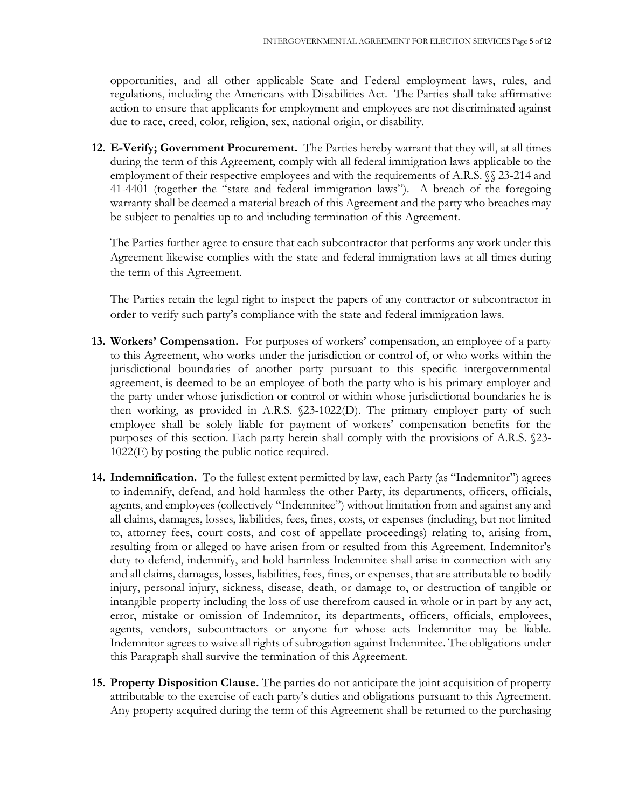opportunities, and all other applicable State and Federal employment laws, rules, and regulations, including the Americans with Disabilities Act. The Parties shall take affirmative action to ensure that applicants for employment and employees are not discriminated against due to race, creed, color, religion, sex, national origin, or disability.

**12. E-Verify; Government Procurement.** The Parties hereby warrant that they will, at all times during the term of this Agreement, comply with all federal immigration laws applicable to the employment of their respective employees and with the requirements of A.R.S.  $\%$  23-214 and 41-4401 (together the "state and federal immigration laws"). A breach of the foregoing warranty shall be deemed a material breach of this Agreement and the party who breaches may be subject to penalties up to and including termination of this Agreement.

The Parties further agree to ensure that each subcontractor that performs any work under this Agreement likewise complies with the state and federal immigration laws at all times during the term of this Agreement.

The Parties retain the legal right to inspect the papers of any contractor or subcontractor in order to verify such party's compliance with the state and federal immigration laws.

- **13. Workers' Compensation.** For purposes of workers' compensation, an employee of a party to this Agreement, who works under the jurisdiction or control of, or who works within the jurisdictional boundaries of another party pursuant to this specific intergovernmental agreement, is deemed to be an employee of both the party who is his primary employer and the party under whose jurisdiction or control or within whose jurisdictional boundaries he is then working, as provided in A.R.S. §23-1022(D). The primary employer party of such employee shall be solely liable for payment of workers' compensation benefits for the purposes of this section. Each party herein shall comply with the provisions of A.R.S. §23- 1022(E) by posting the public notice required.
- **14. Indemnification.** To the fullest extent permitted by law, each Party (as "Indemnitor") agrees to indemnify, defend, and hold harmless the other Party, its departments, officers, officials, agents, and employees (collectively "Indemnitee") without limitation from and against any and all claims, damages, losses, liabilities, fees, fines, costs, or expenses (including, but not limited to, attorney fees, court costs, and cost of appellate proceedings) relating to, arising from, resulting from or alleged to have arisen from or resulted from this Agreement. Indemnitor's duty to defend, indemnify, and hold harmless Indemnitee shall arise in connection with any and all claims, damages, losses, liabilities, fees, fines, or expenses, that are attributable to bodily injury, personal injury, sickness, disease, death, or damage to, or destruction of tangible or intangible property including the loss of use therefrom caused in whole or in part by any act, error, mistake or omission of Indemnitor, its departments, officers, officials, employees, agents, vendors, subcontractors or anyone for whose acts Indemnitor may be liable. Indemnitor agrees to waive all rights of subrogation against Indemnitee. The obligations under this Paragraph shall survive the termination of this Agreement.
- **15. Property Disposition Clause.** The parties do not anticipate the joint acquisition of property attributable to the exercise of each party's duties and obligations pursuant to this Agreement. Any property acquired during the term of this Agreement shall be returned to the purchasing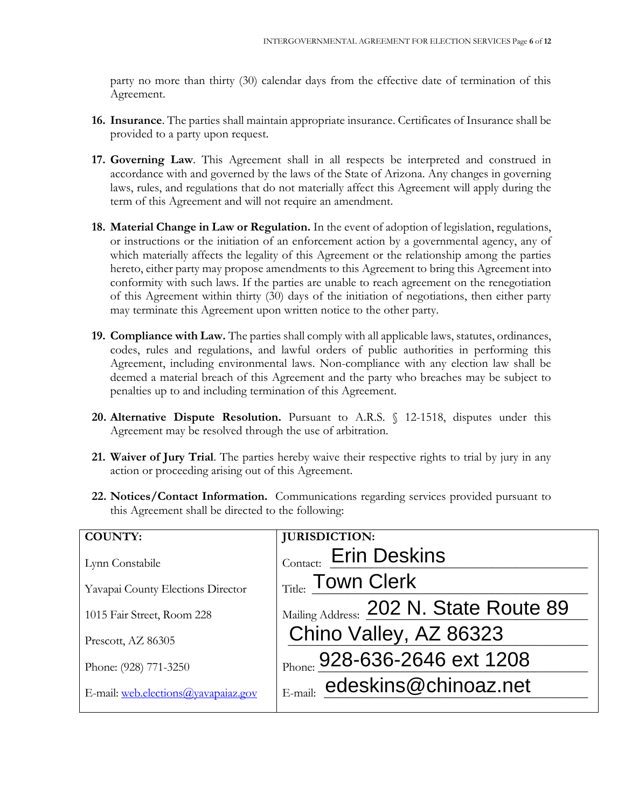party no more than thirty (30) calendar days from the effective date of termination of this Agreement.

- **16. Insurance**. The parties shall maintain appropriate insurance. Certificates of Insurance shall be provided to a party upon request.
- **17. Governing Law**. This Agreement shall in all respects be interpreted and construed in accordance with and governed by the laws of the State of Arizona. Any changes in governing laws, rules, and regulations that do not materially affect this Agreement will apply during the term of this Agreement and will not require an amendment.
- **18. Material Change in Law or Regulation.** In the event of adoption of legislation, regulations, or instructions or the initiation of an enforcement action by a governmental agency, any of which materially affects the legality of this Agreement or the relationship among the parties hereto, either party may propose amendments to this Agreement to bring this Agreement into conformity with such laws. If the parties are unable to reach agreement on the renegotiation of this Agreement within thirty (30) days of the initiation of negotiations, then either party may terminate this Agreement upon written notice to the other party.
- **19. Compliance with Law.** The parties shall comply with all applicable laws, statutes, ordinances, codes, rules and regulations, and lawful orders of public authorities in performing this Agreement, including environmental laws. Non-compliance with any election law shall be deemed a material breach of this Agreement and the party who breaches may be subject to penalties up to and including termination of this Agreement.
- **20. Alternative Dispute Resolution.** Pursuant to A.R.S. § 12-1518, disputes under this Agreement may be resolved through the use of arbitration.
- **21. Waiver of Jury Trial**. The parties hereby waive their respective rights to trial by jury in any action or proceeding arising out of this Agreement.
- **22. Notices/Contact Information.** Communications regarding services provided pursuant to this Agreement shall be directed to the following:

| <b>COUNTY:</b>                      | <b>JURISDICTION:</b>                   |
|-------------------------------------|----------------------------------------|
| Lynn Constabile                     | Contact: Erin Deskins                  |
| Yavapai County Elections Director   | Title: Town Clerk                      |
| 1015 Fair Street, Room 228          | Mailing Address: 202 N. State Route 89 |
| Prescott, AZ 86305                  | Chino Valley, AZ 86323                 |
| Phone: (928) 771-3250               | Phone: 928-636-2646 ext 1208           |
|                                     | $E$ -mail: edeskins@chinoaz.net        |
| E-mail: web.elections@yavapaiaz.gov |                                        |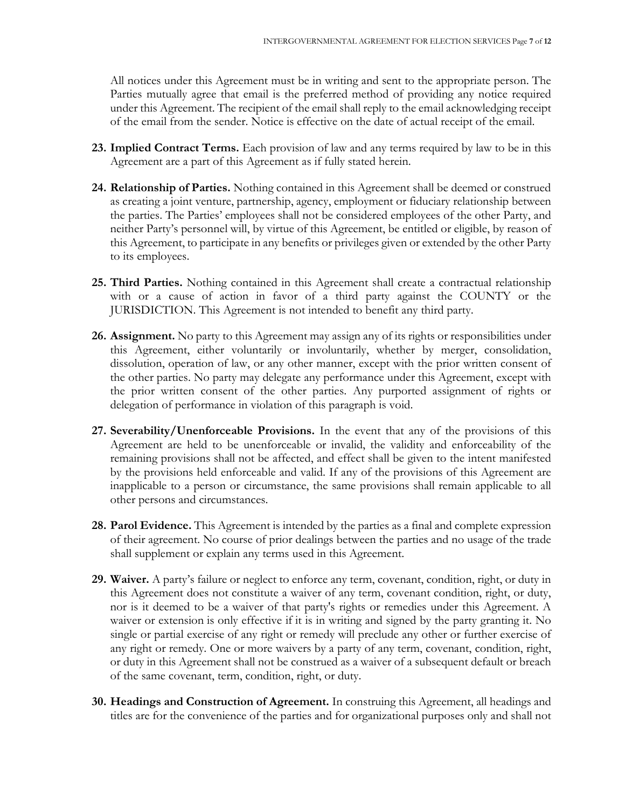All notices under this Agreement must be in writing and sent to the appropriate person. The Parties mutually agree that email is the preferred method of providing any notice required under this Agreement. The recipient of the email shall reply to the email acknowledging receipt of the email from the sender. Notice is effective on the date of actual receipt of the email.

- **23. Implied Contract Terms.** Each provision of law and any terms required by law to be in this Agreement are a part of this Agreement as if fully stated herein.
- **24. Relationship of Parties.** Nothing contained in this Agreement shall be deemed or construed as creating a joint venture, partnership, agency, employment or fiduciary relationship between the parties. The Parties' employees shall not be considered employees of the other Party, and neither Party's personnel will, by virtue of this Agreement, be entitled or eligible, by reason of this Agreement, to participate in any benefits or privileges given or extended by the other Party to its employees.
- **25. Third Parties.** Nothing contained in this Agreement shall create a contractual relationship with or a cause of action in favor of a third party against the COUNTY or the JURISDICTION. This Agreement is not intended to benefit any third party.
- **26. Assignment.** No party to this Agreement may assign any of its rights or responsibilities under this Agreement, either voluntarily or involuntarily, whether by merger, consolidation, dissolution, operation of law, or any other manner, except with the prior written consent of the other parties. No party may delegate any performance under this Agreement, except with the prior written consent of the other parties. Any purported assignment of rights or delegation of performance in violation of this paragraph is void.
- **27. Severability/Unenforceable Provisions.** In the event that any of the provisions of this Agreement are held to be unenforceable or invalid, the validity and enforceability of the remaining provisions shall not be affected, and effect shall be given to the intent manifested by the provisions held enforceable and valid. If any of the provisions of this Agreement are inapplicable to a person or circumstance, the same provisions shall remain applicable to all other persons and circumstances.
- **28. Parol Evidence.** This Agreement is intended by the parties as a final and complete expression of their agreement. No course of prior dealings between the parties and no usage of the trade shall supplement or explain any terms used in this Agreement.
- **29. Waiver.** A party's failure or neglect to enforce any term, covenant, condition, right, or duty in this Agreement does not constitute a waiver of any term, covenant condition, right, or duty, nor is it deemed to be a waiver of that party's rights or remedies under this Agreement. A waiver or extension is only effective if it is in writing and signed by the party granting it. No single or partial exercise of any right or remedy will preclude any other or further exercise of any right or remedy. One or more waivers by a party of any term, covenant, condition, right, or duty in this Agreement shall not be construed as a waiver of a subsequent default or breach of the same covenant, term, condition, right, or duty.
- **30. Headings and Construction of Agreement.** In construing this Agreement, all headings and titles are for the convenience of the parties and for organizational purposes only and shall not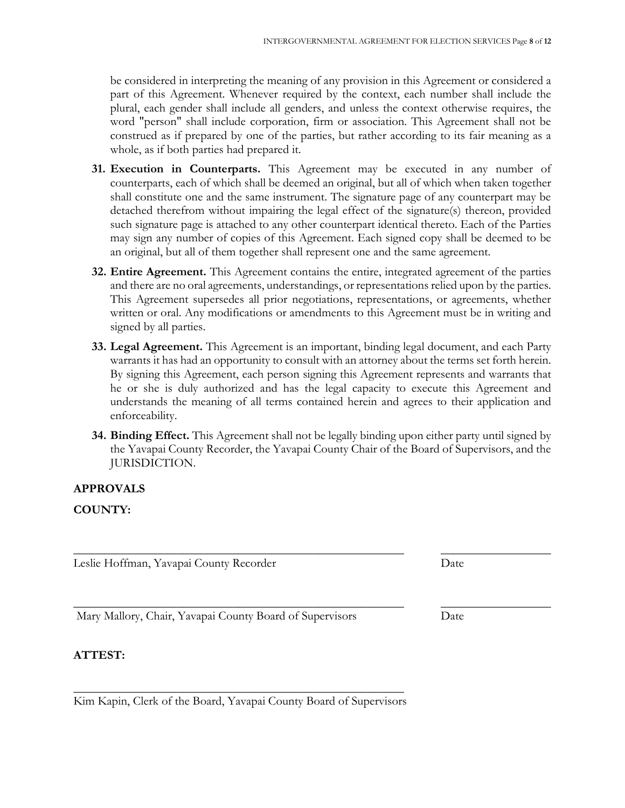be considered in interpreting the meaning of any provision in this Agreement or considered a part of this Agreement. Whenever required by the context, each number shall include the plural, each gender shall include all genders, and unless the context otherwise requires, the word "person" shall include corporation, firm or association. This Agreement shall not be construed as if prepared by one of the parties, but rather according to its fair meaning as a whole, as if both parties had prepared it.

- **31. Execution in Counterparts.** This Agreement may be executed in any number of counterparts, each of which shall be deemed an original, but all of which when taken together shall constitute one and the same instrument. The signature page of any counterpart may be detached therefrom without impairing the legal effect of the signature(s) thereon, provided such signature page is attached to any other counterpart identical thereto. Each of the Parties may sign any number of copies of this Agreement. Each signed copy shall be deemed to be an original, but all of them together shall represent one and the same agreement.
- **32. Entire Agreement.** This Agreement contains the entire, integrated agreement of the parties and there are no oral agreements, understandings, or representations relied upon by the parties. This Agreement supersedes all prior negotiations, representations, or agreements, whether written or oral. Any modifications or amendments to this Agreement must be in writing and signed by all parties.
- **33. Legal Agreement.** This Agreement is an important, binding legal document, and each Party warrants it has had an opportunity to consult with an attorney about the terms set forth herein. By signing this Agreement, each person signing this Agreement represents and warrants that he or she is duly authorized and has the legal capacity to execute this Agreement and understands the meaning of all terms contained herein and agrees to their application and enforceability.
- **34. Binding Effect.** This Agreement shall not be legally binding upon either party until signed by the Yavapai County Recorder, the Yavapai County Chair of the Board of Supervisors, and the JURISDICTION.

**\_\_\_\_\_\_\_\_\_\_\_\_\_\_\_\_\_\_\_\_\_\_\_\_\_\_\_\_\_\_\_\_\_\_\_\_\_\_\_\_\_\_\_\_\_\_\_\_\_\_\_\_\_\_ \_\_\_\_\_\_\_\_\_\_\_\_\_\_\_\_\_\_**

#### **APPROVALS**

#### **COUNTY:**

Leslie Hoffman, Yavapai County Recorder Date

Mary Mallory, Chair, Yavapai County Board of Supervisors Date

#### **ATTEST:**

**\_\_\_\_\_\_\_\_\_\_\_\_\_\_\_\_\_\_\_\_\_\_\_\_\_\_\_\_\_\_\_\_\_\_\_\_\_\_\_\_\_\_\_\_\_\_\_\_\_\_\_\_\_\_** Kim Kapin, Clerk of the Board, Yavapai County Board of Supervisors

**\_\_\_\_\_\_\_\_\_\_\_\_\_\_\_\_\_\_\_\_\_\_\_\_\_\_\_\_\_\_\_\_\_\_\_\_\_\_\_\_\_\_\_\_\_\_\_\_\_\_\_\_\_\_ \_\_\_\_\_\_\_\_\_\_\_\_\_\_\_\_\_\_**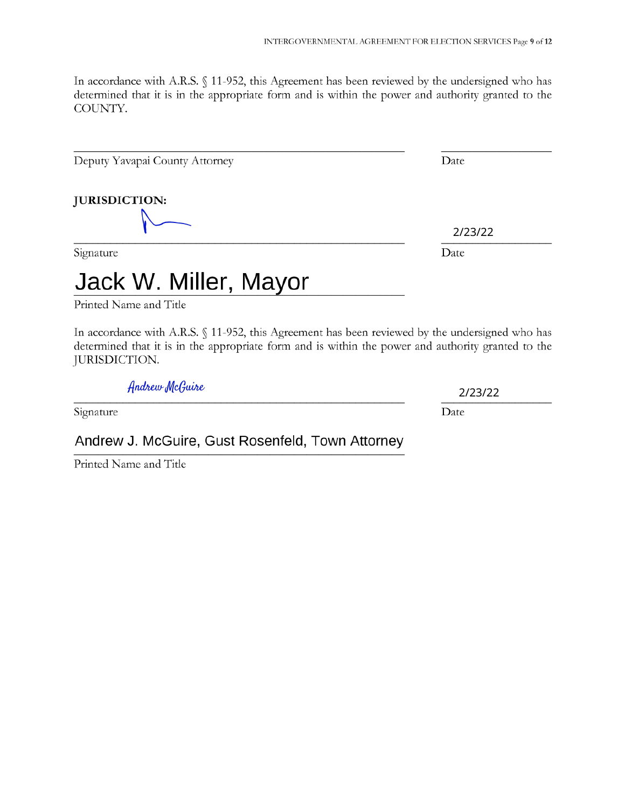In accordance with A.R.S. § 11-952, this Agreement has been reviewed by the undersigned who has determined that it is in the appropriate form and is within the power and authority granted to the COUNTY.

Deputy Yavapai County Attorney Date

**JURISDICTION:**

Signature Date

# Jack W. Miller, Mayor

Printed Name and Title

In accordance with A.R.S. § 11-952, this Agreement has been reviewed by the undersigned who has determined that it is in the appropriate form and is within the power and authority granted to the JURISDICTION.

*{\ ndfiwyJZ[cQui/ies*

2/23/22

Signature Date

## Andrew J. McGuire, Gust Rosenfeld, Town Attorney

Printed Name and Title

2/23/22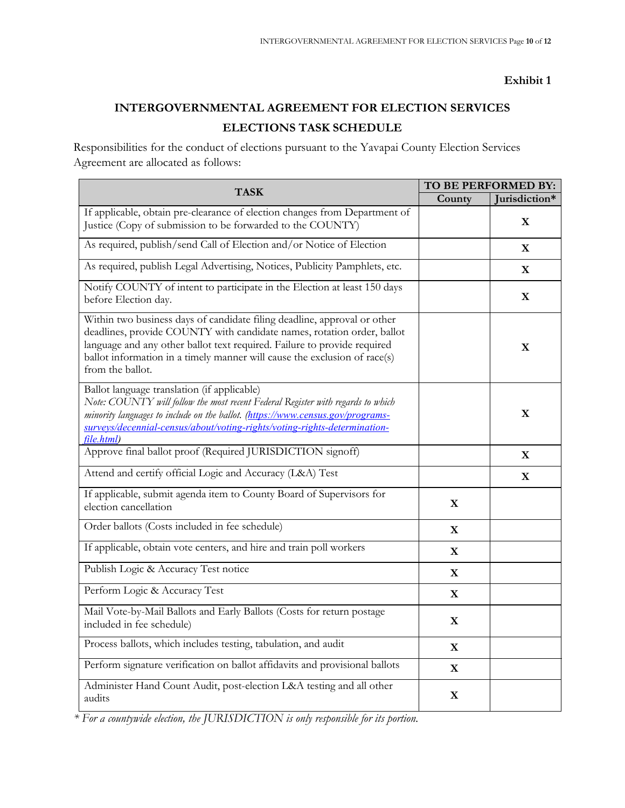#### **Exhibit 1**

# **INTERGOVERNMENTAL AGREEMENT FOR ELECTION SERVICES ELECTIONS TASK SCHEDULE**

Responsibilities for the conduct of elections pursuant to the Yavapai County Election Services Agreement are allocated as follows:

| <b>TASK</b>                                                                                                                                                                                                                                                                                                                     | TO BE PERFORMED BY: |               |
|---------------------------------------------------------------------------------------------------------------------------------------------------------------------------------------------------------------------------------------------------------------------------------------------------------------------------------|---------------------|---------------|
|                                                                                                                                                                                                                                                                                                                                 | County              | Jurisdiction* |
| If applicable, obtain pre-clearance of election changes from Department of<br>Justice (Copy of submission to be forwarded to the COUNTY)                                                                                                                                                                                        |                     | $\mathbf X$   |
| As required, publish/send Call of Election and/or Notice of Election                                                                                                                                                                                                                                                            |                     | $\mathbf X$   |
| As required, publish Legal Advertising, Notices, Publicity Pamphlets, etc.                                                                                                                                                                                                                                                      |                     | $\mathbf X$   |
| Notify COUNTY of intent to participate in the Election at least 150 days<br>before Election day.                                                                                                                                                                                                                                |                     | $\mathbf X$   |
| Within two business days of candidate filing deadline, approval or other<br>deadlines, provide COUNTY with candidate names, rotation order, ballot<br>language and any other ballot text required. Failure to provide required<br>ballot information in a timely manner will cause the exclusion of race(s)<br>from the ballot. |                     | X             |
| Ballot language translation (if applicable)<br>Note: COUNTY will follow the most recent Federal Register with regards to which<br>minority languages to include on the ballot. (https://www.census.gov/programs-<br>surveys/decennial-census/about/voting-rights/voting-rights-determination-<br>file.html)                     |                     | X             |
| Approve final ballot proof (Required JURISDICTION signoff)                                                                                                                                                                                                                                                                      |                     | $\mathbf X$   |
| Attend and certify official Logic and Accuracy (L&A) Test                                                                                                                                                                                                                                                                       |                     | $\mathbf X$   |
| If applicable, submit agenda item to County Board of Supervisors for<br>election cancellation                                                                                                                                                                                                                                   | $\mathbf X$         |               |
| Order ballots (Costs included in fee schedule)                                                                                                                                                                                                                                                                                  | X                   |               |
| If applicable, obtain vote centers, and hire and train poll workers                                                                                                                                                                                                                                                             | X                   |               |
| Publish Logic & Accuracy Test notice                                                                                                                                                                                                                                                                                            | $\mathbf X$         |               |
| Perform Logic & Accuracy Test                                                                                                                                                                                                                                                                                                   | $\mathbf X$         |               |
| Mail Vote-by-Mail Ballots and Early Ballots (Costs for return postage<br>included in fee schedule)                                                                                                                                                                                                                              | $\mathbf X$         |               |
| Process ballots, which includes testing, tabulation, and audit                                                                                                                                                                                                                                                                  | $\mathbf X$         |               |
| Perform signature verification on ballot affidavits and provisional ballots                                                                                                                                                                                                                                                     | $\mathbf X$         |               |
| Administer Hand Count Audit, post-election L&A testing and all other<br>audits                                                                                                                                                                                                                                                  | $\mathbf X$         |               |

*\* For a countywide election, the JURISDICTION is only responsible for its portion.*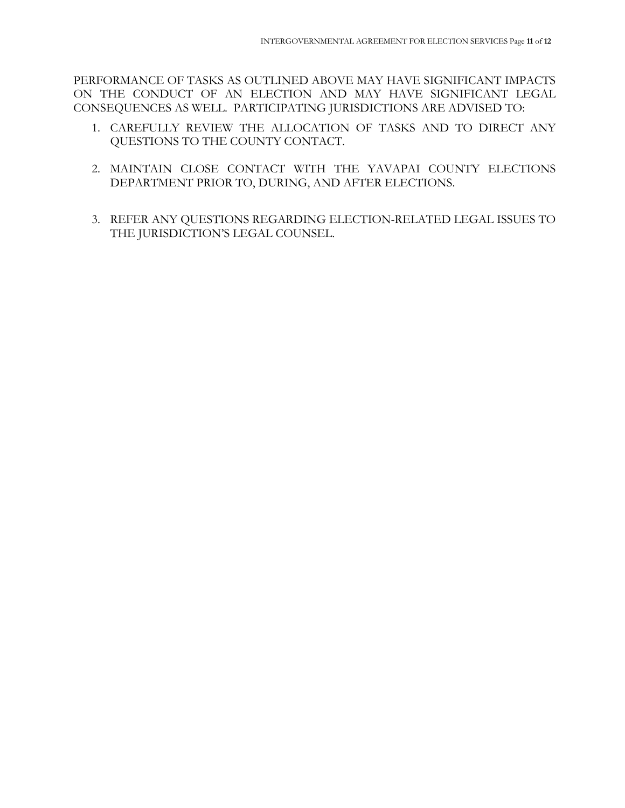PERFORMANCE OF TASKS AS OUTLINED ABOVE MAY HAVE SIGNIFICANT IMPACTS ON THE CONDUCT OF AN ELECTION AND MAY HAVE SIGNIFICANT LEGAL CONSEQUENCES AS WELL. PARTICIPATING JURISDICTIONS ARE ADVISED TO:

- 1. CAREFULLY REVIEW THE ALLOCATION OF TASKS AND TO DIRECT ANY QUESTIONS TO THE COUNTY CONTACT.
- 2. MAINTAIN CLOSE CONTACT WITH THE YAVAPAI COUNTY ELECTIONS DEPARTMENT PRIOR TO, DURING, AND AFTER ELECTIONS.
- 3. REFER ANY QUESTIONS REGARDING ELECTION-RELATED LEGAL ISSUES TO THE JURISDICTION'S LEGAL COUNSEL.